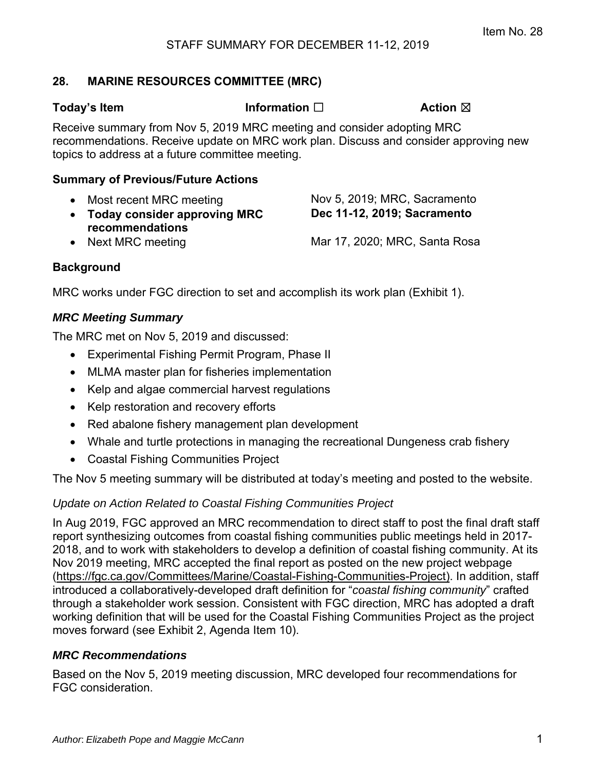## **28. MARINE RESOURCES COMMITTEE (MRC)**

**Today's Item Information** □ **Action ⊠** 

Receive summary from Nov 5, 2019 MRC meeting and consider adopting MRC recommendations. Receive update on MRC work plan. Discuss and consider approving new topics to address at a future committee meeting.

#### **Summary of Previous/Future Actions**

- 
- **Today consider approving MRC recommendations**

• Most recent MRC meeting Nov 5, 2019; MRC, Sacramento **Dec 11-12, 2019; Sacramento** 

• Next MRC meeting **Mar 17, 2020; MRC, Santa Rosa** 

# **Background**

MRC works under FGC direction to set and accomplish its work plan (Exhibit 1).

## *MRC Meeting Summary*

The MRC met on Nov 5, 2019 and discussed:

- Experimental Fishing Permit Program, Phase II
- MLMA master plan for fisheries implementation
- Kelp and algae commercial harvest regulations
- Kelp restoration and recovery efforts
- Red abalone fishery management plan development
- Whale and turtle protections in managing the recreational Dungeness crab fishery
- Coastal Fishing Communities Project

The Nov 5 meeting summary will be distributed at today's meeting and posted to the website.

# *Update on Action Related to Coastal Fishing Communities Project*

In Aug 2019, FGC approved an MRC recommendation to direct staff to post the final draft staff report synthesizing outcomes from coastal fishing communities public meetings held in 2017- 2018, and to work with stakeholders to develop a definition of coastal fishing community. At its Nov 2019 meeting, MRC accepted the final report as posted on the new project webpage (https://fgc.ca.gov/Committees/Marine/Coastal-Fishing-Communities-Project). In addition, staff introduced a collaboratively-developed draft definition for "*coastal fishing community*" crafted through a stakeholder work session. Consistent with FGC direction, MRC has adopted a draft working definition that will be used for the Coastal Fishing Communities Project as the project moves forward (see Exhibit 2, Agenda Item 10).

## *MRC Recommendations*

Based on the Nov 5, 2019 meeting discussion, MRC developed four recommendations for FGC consideration.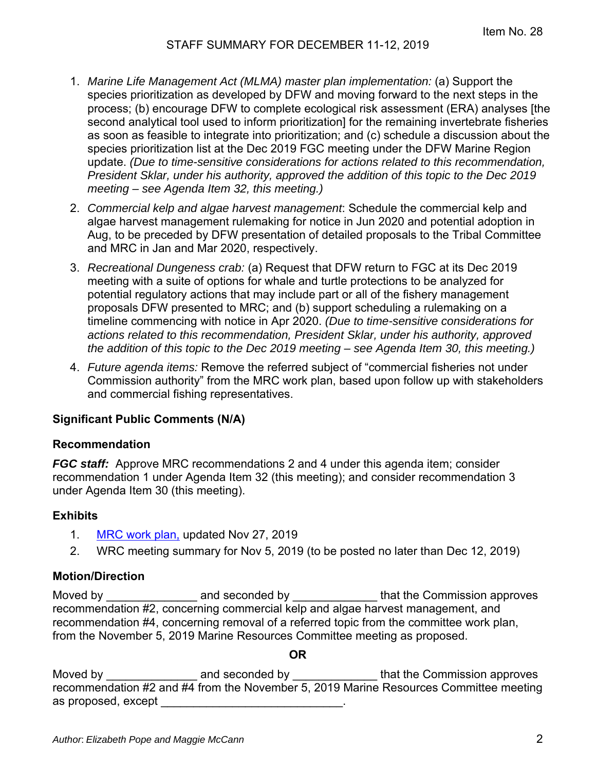- 1. *Marine Life Management Act (MLMA) master plan implementation:* (a) Support the species prioritization as developed by DFW and moving forward to the next steps in the process; (b) encourage DFW to complete ecological risk assessment (ERA) analyses [the second analytical tool used to inform prioritization] for the remaining invertebrate fisheries as soon as feasible to integrate into prioritization; and (c) schedule a discussion about the species prioritization list at the Dec 2019 FGC meeting under the DFW Marine Region update. *(Due to time-sensitive considerations for actions related to this recommendation, President Sklar, under his authority, approved the addition of this topic to the Dec 2019 meeting – see Agenda Item 32, this meeting.)*
- 2. *Commercial kelp and algae harvest management*: Schedule the commercial kelp and algae harvest management rulemaking for notice in Jun 2020 and potential adoption in Aug, to be preceded by DFW presentation of detailed proposals to the Tribal Committee and MRC in Jan and Mar 2020, respectively.
- 3. *Recreational Dungeness crab:* (a) Request that DFW return to FGC at its Dec 2019 meeting with a suite of options for whale and turtle protections to be analyzed for potential regulatory actions that may include part or all of the fishery management proposals DFW presented to MRC; and (b) support scheduling a rulemaking on a timeline commencing with notice in Apr 2020. *(Due to time-sensitive considerations for actions related to this recommendation, President Sklar, under his authority, approved the addition of this topic to the Dec 2019 meeting – see Agenda Item 30, this meeting.)*
- 4. *Future agenda items:* Remove the referred subject of "commercial fisheries not under Commission authority" from the MRC work plan, based upon follow up with stakeholders and commercial fishing representatives.

## **Significant Public Comments (N/A)**

#### **Recommendation**

*FGC staff:*Approve MRC recommendations 2 and 4 under this agenda item; consider recommendation 1 under Agenda Item 32 (this meeting); and consider recommendation 3 under Agenda Item 30 (this meeting).

#### **Exhibits**

- 1. [MRC work plan,](#page-2-0) updated Nov 27, 2019
- 2. WRC meeting summary for Nov 5, 2019 (to be posted no later than Dec 12, 2019)

#### **Motion/Direction**

Moved by **EXECUTE:** And seconded by **EXECUTE:** that the Commission approves recommendation #2, concerning commercial kelp and algae harvest management, and recommendation #4, concerning removal of a referred topic from the committee work plan, from the November 5, 2019 Marine Resources Committee meeting as proposed.

#### **OR**

Moved by \_\_\_\_\_\_\_\_\_\_\_\_\_\_\_\_\_\_\_\_ and seconded by \_\_\_\_\_\_\_\_\_\_\_\_\_\_\_\_\_that the Commission approves recommendation #2 and #4 from the November 5, 2019 Marine Resources Committee meeting as proposed, except **a**